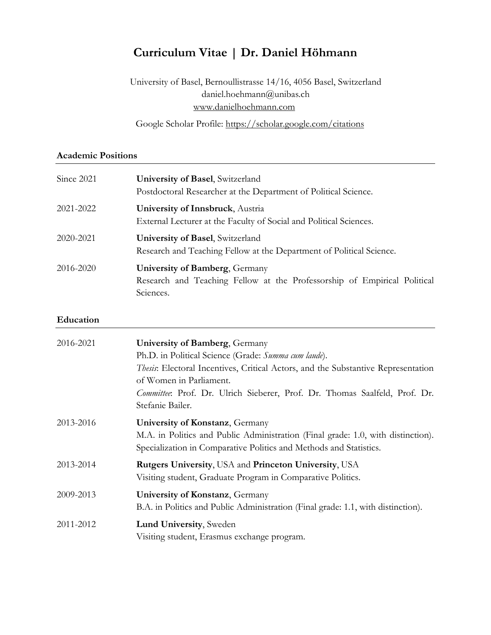# **Curriculum Vitae | Dr. Daniel Höhmann**

University of Basel, Bernoullistrasse 14/16, 4056 Basel, Switzerland daniel.hoehmann@unibas.ch www.danielhoehmann.com

Google Scholar Profile: [https://scholar.google.com/citations](https://scholar.google.com/citations?user=8u65dJYAAAAJ&hl=de&oi=ao)

#### **Academic Positions**

| Since 2021 | University of Basel, Switzerland<br>Postdoctoral Researcher at the Department of Political Science.                     |
|------------|-------------------------------------------------------------------------------------------------------------------------|
| 2021-2022  | University of Innsbruck, Austria<br>External Lecturer at the Faculty of Social and Political Sciences.                  |
| 2020-2021  | <b>University of Basel</b> , Switzerland<br>Research and Teaching Fellow at the Department of Political Science.        |
| 2016-2020  | University of Bamberg, Germany<br>Research and Teaching Fellow at the Professorship of Empirical Political<br>Sciences. |

#### **Education**

| 2016-2021 | University of Bamberg, Germany<br>Ph.D. in Political Science (Grade: Summa cum laude).<br><i>Thesis</i> : Electoral Incentives, Critical Actors, and the Substantive Representation<br>of Women in Parliament.<br>Committee: Prof. Dr. Ulrich Sieberer, Prof. Dr. Thomas Saalfeld, Prof. Dr.<br>Stefanie Bailer. |
|-----------|------------------------------------------------------------------------------------------------------------------------------------------------------------------------------------------------------------------------------------------------------------------------------------------------------------------|
| 2013-2016 | University of Konstanz, Germany<br>M.A. in Politics and Public Administration (Final grade: 1.0, with distinction).<br>Specialization in Comparative Politics and Methods and Statistics.                                                                                                                        |
| 2013-2014 | <b>Rutgers University, USA and Princeton University, USA</b><br>Visiting student, Graduate Program in Comparative Politics.                                                                                                                                                                                      |
| 2009-2013 | University of Konstanz, Germany<br>B.A. in Politics and Public Administration (Final grade: 1.1, with distinction).                                                                                                                                                                                              |
| 2011-2012 | Lund University, Sweden<br>Visiting student, Erasmus exchange program.                                                                                                                                                                                                                                           |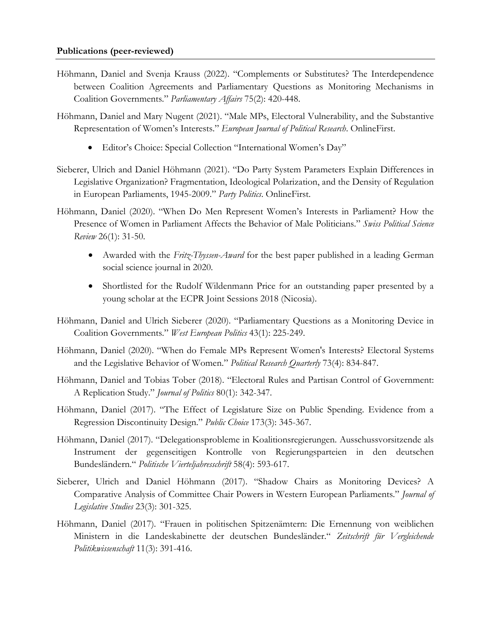- Höhmann, Daniel and Svenja Krauss (2022). "Complements or Substitutes? The Interdependence between Coalition Agreements and Parliamentary Questions as Monitoring Mechanisms in Coalition Governments." *Parliamentary Affairs* 75(2): 420-448.
- Höhmann, Daniel and Mary Nugent (2021). "Male MPs, Electoral Vulnerability, and the Substantive Representation of Women's Interests." *European Journal of Political Research*. OnlineFirst.
	- Editor's Choice: Special Collection "International Women's Day"
- Sieberer, Ulrich and Daniel Höhmann (2021). "Do Party System Parameters Explain Differences in Legislative Organization? Fragmentation, Ideological Polarization, and the Density of Regulation in European Parliaments, 1945-2009." *Party Politics*. OnlineFirst.
- Höhmann, Daniel (2020). "When Do Men Represent Women's Interests in Parliament? How the Presence of Women in Parliament Affects the Behavior of Male Politicians." *Swiss Political Science Review* 26(1): 31-50.
	- Awarded with the *Fritz-Thyssen-Award* for the best paper published in a leading German social science journal in 2020.
	- Shortlisted for the Rudolf Wildenmann Price for an outstanding paper presented by a young scholar at the ECPR Joint Sessions 2018 (Nicosia).
- Höhmann, Daniel and Ulrich Sieberer (2020). "Parliamentary Questions as a Monitoring Device in Coalition Governments." *West European Politics* 43(1): 225-249.
- Höhmann, Daniel (2020). "When do Female MPs Represent Women's Interests? Electoral Systems and the Legislative Behavior of Women." *Political Research Quarterly* 73(4): 834-847.
- Höhmann, Daniel and Tobias Tober (2018). "Electoral Rules and Partisan Control of Government: A Replication Study." *Journal of Politics* 80(1): 342-347.
- Höhmann, Daniel (2017). "The Effect of Legislature Size on Public Spending. Evidence from a Regression Discontinuity Design." *Public Choice* 173(3): 345-367.
- Höhmann, Daniel (2017). "Delegationsprobleme in Koalitionsregierungen. Ausschussvorsitzende als Instrument der gegenseitigen Kontrolle von Regierungsparteien in den deutschen Bundesländern." *Politische Vierteljahresschrift* 58(4): 593-617.
- Sieberer, Ulrich and Daniel Höhmann (2017). "Shadow Chairs as Monitoring Devices? A Comparative Analysis of Committee Chair Powers in Western European Parliaments." *Journal of Legislative Studies* 23(3): 301-325.
- Höhmann, Daniel (2017). "Frauen in politischen Spitzenämtern: Die Ernennung von weiblichen Ministern in die Landeskabinette der deutschen Bundesländer." *Zeitschrift für Vergleichende Politikwissenschaft* 11(3): 391-416.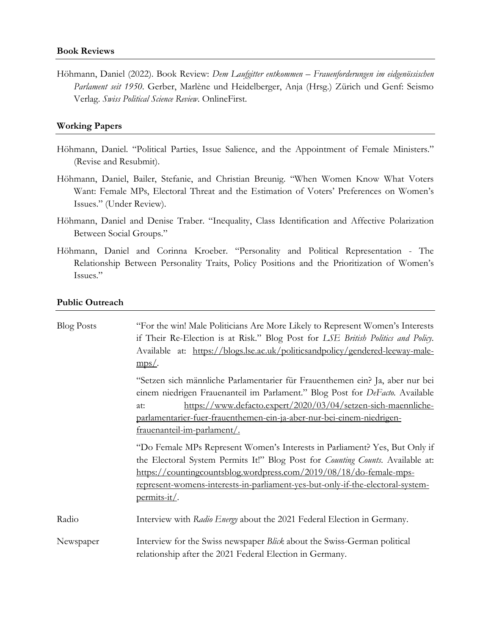Höhmann, Daniel (2022). Book Review: *Dem Laufgitter entkommen – Frauenforderungen im eidgenössischen Parlament seit 1950*. Gerber, Marlène und Heidelberger, Anja (Hrsg.) Zürich und Genf: Seismo Verlag. *Swiss Political Science Review*. OnlineFirst.

#### **Working Papers**

- Höhmann, Daniel. "Political Parties, Issue Salience, and the Appointment of Female Ministers." (Revise and Resubmit).
- Höhmann, Daniel, Bailer, Stefanie, and Christian Breunig. "When Women Know What Voters Want: Female MPs, Electoral Threat and the Estimation of Voters' Preferences on Women's Issues." (Under Review).
- Höhmann, Daniel and Denise Traber. "Inequality, Class Identification and Affective Polarization Between Social Groups."
- Höhmann, Daniel and Corinna Kroeber. "Personality and Political Representation The Relationship Between Personality Traits, Policy Positions and the Prioritization of Women's Issues."

#### **Public Outreach**

| <b>Blog Posts</b> | "For the win! Male Politicians Are More Likely to Represent Women's Interests<br>if Their Re-Election is at Risk." Blog Post for LSE British Politics and Policy.<br>Available at: https://blogs.lse.ac.uk/politicsandpolicy/gendered-leeway-male-<br>$mps/$ .                                                                               |
|-------------------|----------------------------------------------------------------------------------------------------------------------------------------------------------------------------------------------------------------------------------------------------------------------------------------------------------------------------------------------|
|                   | "Setzen sich männliche Parlamentarier für Frauenthemen ein? Ja, aber nur bei<br>einem niedrigen Frauenanteil im Parlament." Blog Post for DeFacto. Available<br>https://www.defacto.expert/2020/03/04/setzen-sich-maennliche-<br>at:<br>parlamentarier-fuer-frauenthemen-ein-ja-aber-nur-bei-einem-niedrigen-<br>frauenanteil-im-parlament/. |
|                   | "Do Female MPs Represent Women's Interests in Parliament? Yes, But Only if<br>the Electoral System Permits It!" Blog Post for <i>Counting Counts</i> . Available at:<br>https://countingcountsblog.wordpress.com/2019/08/18/do-female-mps-<br>represent-womens-interests-in-parliament-yes-but-only-if-the-electoral-system-<br>permits-it/. |
| Radio             | Interview with Radio Energy about the 2021 Federal Election in Germany.                                                                                                                                                                                                                                                                      |
| Newspaper         | Interview for the Swiss newspaper Blick about the Swiss-German political<br>relationship after the 2021 Federal Election in Germany.                                                                                                                                                                                                         |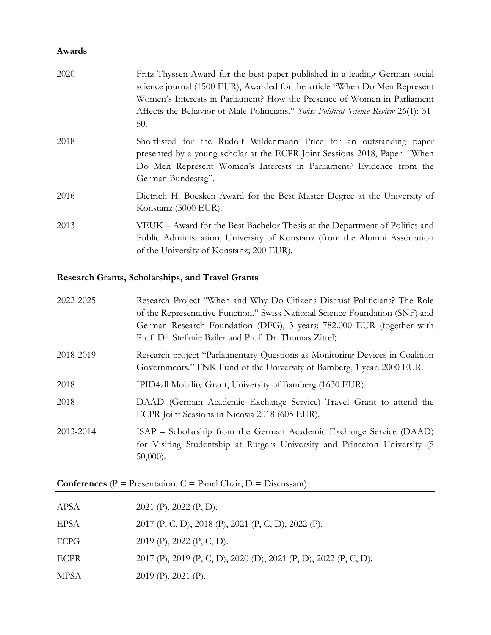## **Awards**

| 2020 | Fritz-Thyssen-Award for the best paper published in a leading German social<br>science journal (1500 EUR), Awarded for the article "When Do Men Represent"<br>Women's Interests in Parliament? How the Presence of Women in Parliament<br>Affects the Behavior of Male Politicians." Swiss Political Science Review 26(1): 31-<br>50. |
|------|---------------------------------------------------------------------------------------------------------------------------------------------------------------------------------------------------------------------------------------------------------------------------------------------------------------------------------------|
| 2018 | Shortlisted for the Rudolf Wildenmann Price for an outstanding paper<br>presented by a young scholar at the ECPR Joint Sessions 2018, Paper: "When<br>Do Men Represent Women's Interests in Parliament? Evidence from the<br>German Bundestag".                                                                                       |
| 2016 | Dietrich H. Boesken Award for the Best Master Degree at the University of<br>Konstanz (5000 EUR).                                                                                                                                                                                                                                     |
| 2013 | VEUK – Award for the Best Bachelor Thesis at the Department of Politics and<br>Public Administration; University of Konstanz (from the Alumni Association<br>of the University of Konstanz; 200 EUR).                                                                                                                                 |

## **Research Grants, Scholarships, and Travel Grants**

| 2022-2025 | Research Project "When and Why Do Citizens Distrust Politicians? The Role                                                                                         |
|-----------|-------------------------------------------------------------------------------------------------------------------------------------------------------------------|
|           | of the Representative Function." Swiss National Science Foundation (SNF) and                                                                                      |
|           | German Research Foundation (DFG), 3 years: 782.000 EUR (together with                                                                                             |
|           | Prof. Dr. Stefanie Bailer and Prof. Dr. Thomas Zittel).                                                                                                           |
| 2018-2019 | Research project "Parliamentary Questions as Monitoring Devices in Coalition<br>Governments." FNK Fund of the University of Bamberg, 1 year: 2000 EUR.            |
| 2018      | IPID4all Mobility Grant, University of Bamberg (1630 EUR).                                                                                                        |
| 2018      | DAAD (German Academic Exchange Service) Travel Grant to attend the<br>ECPR Joint Sessions in Nicosia 2018 (605 EUR).                                              |
| 2013-2014 | ISAP – Scholarship from the German Academic Exchange Service (DAAD)<br>for Visiting Studentship at Rutgers University and Princeton University (\$<br>$50,000$ ). |

**Conferences** (P = Presentation, C = Panel Chair, D = Discussant)

| APSA        | 2021 (P), 2022 (P, D).                                           |
|-------------|------------------------------------------------------------------|
| EPSA        | 2017 (P, C, D), 2018 (P), 2021 (P, C, D), 2022 (P).              |
| <b>ECPG</b> | 2019 (P), 2022 (P, C, D).                                        |
| <b>ECPR</b> | 2017 (P), 2019 (P, C, D), 2020 (D), 2021 (P, D), 2022 (P, C, D). |
| <b>MPSA</b> | $2019$ (P), $2021$ (P).                                          |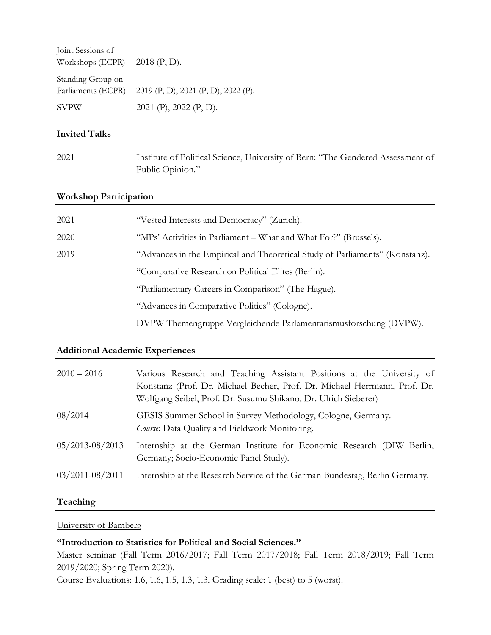| Joint Sessions of               |                                                        |
|---------------------------------|--------------------------------------------------------|
| Workshops (ECPR) $2018$ (P, D). |                                                        |
| Standing Group on               |                                                        |
|                                 | Parliaments (ECPR) 2019 (P, D), 2021 (P, D), 2022 (P). |
| <b>SVPW</b>                     | $2021$ (P), $2022$ (P, D).                             |

#### **Invited Talks**

| 2021 | Institute of Political Science, University of Bern: "The Gendered Assessment of |
|------|---------------------------------------------------------------------------------|
|      | Public Opinion."                                                                |

#### **Workshop Participation**

| 2021 | "Vested Interests and Democracy" (Zurich).                                   |
|------|------------------------------------------------------------------------------|
| 2020 | "MPs' Activities in Parliament – What and What For?" (Brussels).             |
| 2019 | "Advances in the Empirical and Theoretical Study of Parliaments" (Konstanz). |
|      | "Comparative Research on Political Elites (Berlin).                          |
|      | "Parliamentary Careers in Comparison" (The Hague).                           |
|      | "Advances in Comparative Politics" (Cologne).                                |
|      | DVPW Themengruppe Vergleichende Parlamentarismusforschung (DVPW).            |

#### **Additional Academic Experiences**

| $2010 - 2016$       | Various Research and Teaching Assistant Positions at the University of<br>Konstanz (Prof. Dr. Michael Becher, Prof. Dr. Michael Herrmann, Prof. Dr.<br>Wolfgang Seibel, Prof. Dr. Susumu Shikano, Dr. Ulrich Sieberer) |
|---------------------|------------------------------------------------------------------------------------------------------------------------------------------------------------------------------------------------------------------------|
| 08/2014             | GESIS Summer School in Survey Methodology, Cologne, Germany.<br>Course: Data Quality and Fieldwork Monitoring.                                                                                                         |
| $05/2013 - 08/2013$ | Internship at the German Institute for Economic Research (DIW Berlin,<br>Germany; Socio-Economic Panel Study).                                                                                                         |
| $03/2011 - 08/2011$ | Internship at the Research Service of the German Bundestag, Berlin Germany.                                                                                                                                            |

#### **Teaching**

University of Bamberg

#### **"Introduction to Statistics for Political and Social Sciences."**

Master seminar (Fall Term 2016/2017; Fall Term 2017/2018; Fall Term 2018/2019; Fall Term 2019/2020; Spring Term 2020).

Course Evaluations: 1.6, 1.6, 1.5, 1.3, 1.3. Grading scale: 1 (best) to 5 (worst).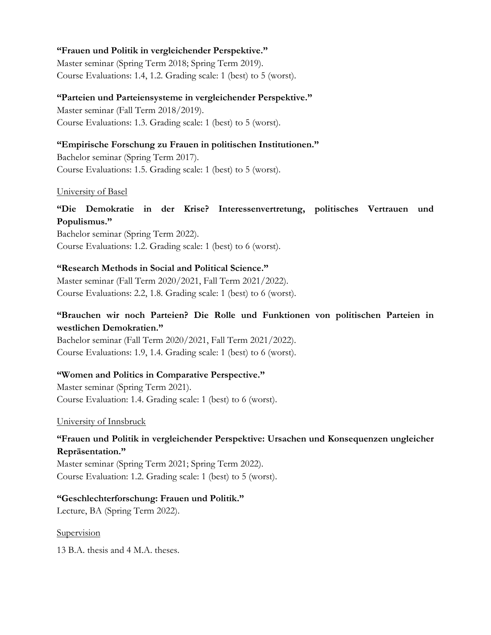#### **"Frauen und Politik in vergleichender Perspektive."**

Master seminar (Spring Term 2018; Spring Term 2019). Course Evaluations: 1.4, 1.2. Grading scale: 1 (best) to 5 (worst).

#### **"Parteien und Parteiensysteme in vergleichender Perspektive."**

Master seminar (Fall Term 2018/2019). Course Evaluations: 1.3. Grading scale: 1 (best) to 5 (worst).

#### **"Empirische Forschung zu Frauen in politischen Institutionen."**

Bachelor seminar (Spring Term 2017). Course Evaluations: 1.5. Grading scale: 1 (best) to 5 (worst).

#### University of Basel

## **"Die Demokratie in der Krise? Interessenvertretung, politisches Vertrauen und Populismus."**

Bachelor seminar (Spring Term 2022). Course Evaluations: 1.2. Grading scale: 1 (best) to 6 (worst).

#### **"Research Methods in Social and Political Science."**

Master seminar (Fall Term 2020/2021, Fall Term 2021/2022). Course Evaluations: 2.2, 1.8. Grading scale: 1 (best) to 6 (worst).

## **"Brauchen wir noch Parteien? Die Rolle und Funktionen von politischen Parteien in westlichen Demokratien."**

Bachelor seminar (Fall Term 2020/2021, Fall Term 2021/2022). Course Evaluations: 1.9, 1.4. Grading scale: 1 (best) to 6 (worst).

#### **"Women and Politics in Comparative Perspective."**

Master seminar (Spring Term 2021). Course Evaluation: 1.4. Grading scale: 1 (best) to 6 (worst).

University of Innsbruck

## **"Frauen und Politik in vergleichender Perspektive: Ursachen und Konsequenzen ungleicher Repräsentation."**

Master seminar (Spring Term 2021; Spring Term 2022). Course Evaluation: 1.2. Grading scale: 1 (best) to 5 (worst).

## **"Geschlechterforschung: Frauen und Politik."**

Lecture, BA (Spring Term 2022).

Supervision

13 B.A. thesis and 4 M.A. theses.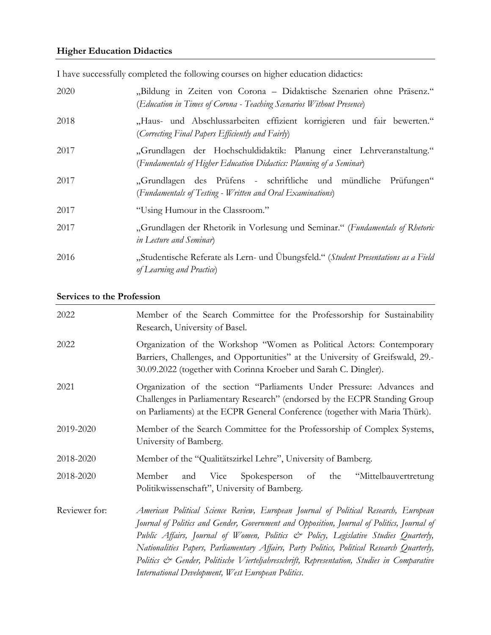## **Higher Education Didactics**

I have successfully completed the following courses on higher education didactics:

| 2020 | "Bildung in Zeiten von Corona - Didaktische Szenarien ohne Präsenz."<br>(Education in Times of Corona - Teaching Scenarios Without Presence) |
|------|----------------------------------------------------------------------------------------------------------------------------------------------|
| 2018 | "Haus- und Abschlussarbeiten effizient korrigieren und fair bewerten."<br>(Correcting Final Papers Efficiently and Fairly)                   |
| 2017 | "Grundlagen der Hochschuldidaktik: Planung einer Lehrveranstaltung."<br>(Fundamentals of Higher Education Didactics: Planning of a Seminar)  |
| 2017 | "Grundlagen des Prüfens - schriftliche und mündliche Prüfungen"<br>(Fundamentals of Testing - Written and Oral Examinations)                 |
| 2017 | "Using Humour in the Classroom."                                                                                                             |
| 2017 | "Grundlagen der Rhetorik in Vorlesung und Seminar." (Fundamentals of Rhetoric<br>in Lecture and Seminar)                                     |
| 2016 | "Studentische Referate als Lern- und Übungsfeld." (Student Presentations as a Field<br>of Learning and Practice)                             |

## **Services to the Profession**

| 2022          | Member of the Search Committee for the Professorship for Sustainability<br>Research, University of Basel.                                                                                                                                                                                                                                                                                                                                                                                                                  |
|---------------|----------------------------------------------------------------------------------------------------------------------------------------------------------------------------------------------------------------------------------------------------------------------------------------------------------------------------------------------------------------------------------------------------------------------------------------------------------------------------------------------------------------------------|
| 2022          | Organization of the Workshop "Women as Political Actors: Contemporary<br>Barriers, Challenges, and Opportunities" at the University of Greifswald, 29.-<br>30.09.2022 (together with Corinna Kroeber und Sarah C. Dingler).                                                                                                                                                                                                                                                                                                |
| 2021          | Organization of the section "Parliaments Under Pressure: Advances and<br>Challenges in Parliamentary Research" (endorsed by the ECPR Standing Group<br>on Parliaments) at the ECPR General Conference (together with Maria Thürk).                                                                                                                                                                                                                                                                                         |
| 2019-2020     | Member of the Search Committee for the Professorship of Complex Systems,<br>University of Bamberg.                                                                                                                                                                                                                                                                                                                                                                                                                         |
| 2018-2020     | Member of the "Qualitätszirkel Lehre", University of Bamberg.                                                                                                                                                                                                                                                                                                                                                                                                                                                              |
| 2018-2020     | Member<br>Vice Spokesperson of<br>and<br>the<br>"Mittelbauvertretung<br>Politikwissenschaft", University of Bamberg.                                                                                                                                                                                                                                                                                                                                                                                                       |
| Reviewer for: | American Political Science Review, European Journal of Political Research, European<br>Journal of Politics and Gender, Government and Opposition, Journal of Politics, Journal of<br>Public Affairs, Journal of Women, Politics & Policy, Legislative Studies Quarterly,<br>Nationalities Papers, Parliamentary Affairs, Party Politics, Political Research Quarterly,<br>Politics & Gender, Politische Vierteljahresschrift, Representation, Studies in Comparative<br>International Development, West European Politics. |